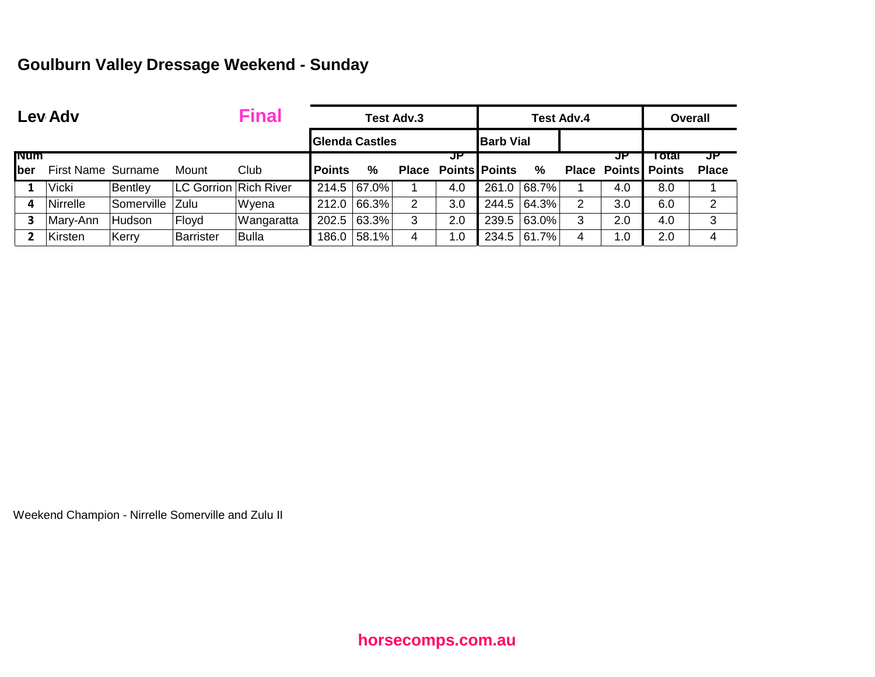## **Goulburn Valley Dressage Weekend - Sunday**

|             | <b>Final</b><br>Lev Adv   |            |                       |                                                 |               |             | <b>Test Adv.3</b> |                            |       | Test Adv.4 |       |                      | <b>Overall</b> |                |  |
|-------------|---------------------------|------------|-----------------------|-------------------------------------------------|---------------|-------------|-------------------|----------------------------|-------|------------|-------|----------------------|----------------|----------------|--|
|             |                           |            |                       | <b>Barb Vial</b><br><b>Glenda Castles</b><br>JP |               |             |                   |                            |       |            |       |                      |                |                |  |
| <b>INUM</b> |                           |            |                       |                                                 |               |             |                   |                            |       |            |       | JF                   | ⊤otar          | JP             |  |
| <b>lber</b> | <b>First Name Surname</b> |            | Mount                 | Club                                            | <b>Points</b> | $\%$        |                   | <b>Place Points Points</b> |       | %          | Place | <b>Points Points</b> |                | <b>Place</b>   |  |
|             | <b>Vicki</b>              | Bentley    | LC Gorrion Rich River |                                                 |               | 214.5 67.0% |                   | 4.0                        | 261.0 | 68.7%      |       | 4.0                  | 8.0            |                |  |
| 4           | Nirrelle                  | Somerville | Zulu                  | Wyena                                           | 212.0         | 66.3%       | 2                 | 3.0                        | 244.5 | 64.3%      | 2     | 3.0                  | 6.0            | $\overline{2}$ |  |
|             | Mary-Ann                  | Hudson     | Floyd                 | Wangaratta                                      | 202.5         | $ 63.3\% $  | 3                 | 2.0                        | 239.5 | 63.0%      | 3     | 2.0                  | 4.0            | 3              |  |
|             | Kirsten                   | Kerry      | Barrister             | <b>Bulla</b>                                    | 186.0         | 58.1%       | 4                 | 1.0                        | 234.5 | 61.7%      | 4     | 1.0                  | 2.0            | 4              |  |

Weekend Champion - Nirrelle Somerville and Zulu II

**horsecomps.com.au**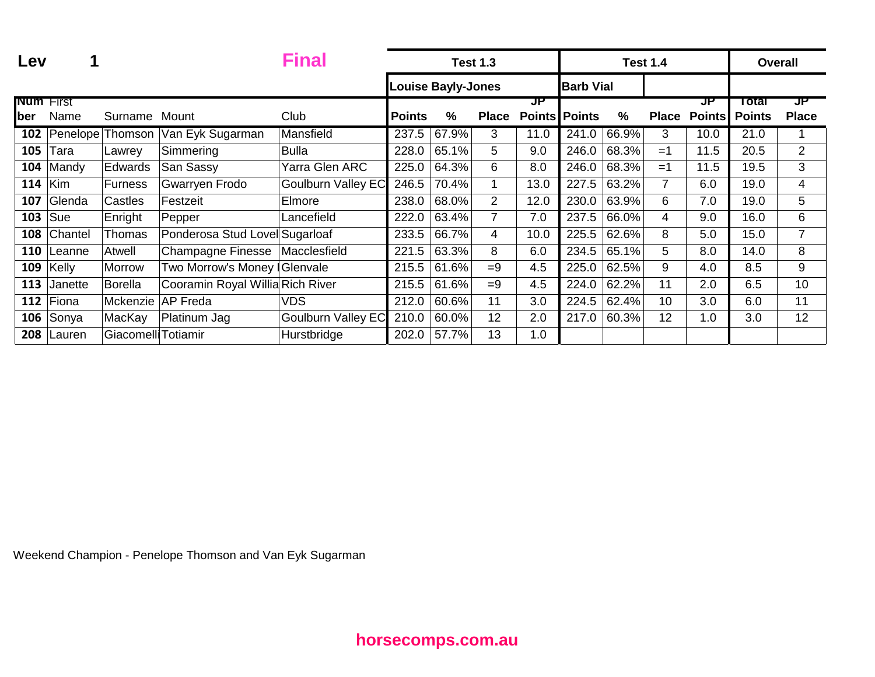| Lev                     |                         |                     |                                  | <b>Final</b>              |                    |                           | <b>Test 1.3</b> |                            |                  |               | <b>Test 1.4</b> |                     |                        | <b>Overall</b>     |
|-------------------------|-------------------------|---------------------|----------------------------------|---------------------------|--------------------|---------------------------|-----------------|----------------------------|------------------|---------------|-----------------|---------------------|------------------------|--------------------|
|                         |                         |                     |                                  |                           |                    | <b>Louise Bayly-Jones</b> |                 |                            | <b>Barb Vial</b> |               |                 |                     |                        |                    |
| <b>Num</b> First<br>ber | Name                    | Surname             | Mount                            | Club                      | <b>Points</b>      | %                         | <b>Place</b>    | JP<br><b>Points Points</b> |                  | $\frac{0}{0}$ | <b>Place</b>    | JP<br><b>Points</b> | Total<br><b>Points</b> | JP<br><b>Place</b> |
| 102                     | Penelope <sup>[1]</sup> | Thomson             | Van Eyk Sugarman                 | Mansfield                 | $237.\overline{5}$ | 67.9%                     | 3               | 11.0                       | 241.0            | 66.9%         | 3               | 10.0                | 21.0                   |                    |
| 105                     | Tara                    | Lawrey              | Simmering                        | <b>Bulla</b>              | 228.0              | 65.1%                     | 5               | 9.0                        | 246.0            | 68.3%         | $=1$            | 11.5                | 20.5                   | $\overline{2}$     |
| 104                     | Mandy                   | Edwards             | San Sassy                        | Yarra Glen ARC            | 225.0              | 64.3%                     | 6               | 8.0                        | 246.0            | 68.3%         | $=1$            | 11.5                | 19.5                   | 3                  |
| 114                     | Kim                     | Furness             | Gwarryen Frodo                   | <b>Goulburn Valley EC</b> | 246.5              | 70.4%                     | $\mathbf 1$     | 13.0                       | 227.5            | 63.2%         | $\overline{7}$  | 6.0                 | 19.0                   | $\overline{4}$     |
| 107                     | Glenda                  | Castles             | Festzeit                         | Elmore                    | 238.0              | 68.0%                     | $\overline{2}$  | 12.0                       | 230.0            | 63.9%         | 6               | 7.0                 | 19.0                   | 5                  |
| 103                     | Sue                     | Enright             | Pepper                           | Lancefield                | 222.0              | 63.4%                     | 7               | 7.0                        | 237.5            | 66.0%         | 4               | 9.0                 | 16.0                   | 6                  |
| 108                     | Chantel                 | Thomas              | Ponderosa Stud Lovel Sugarloaf   |                           | 233.5              | 66.7%                     | 4               | 10.0                       | 225.5            | 62.6%         | 8               | 5.0                 | 15.0                   | $\overline{7}$     |
| 110                     | Leanne                  | Atwell              | Champagne Finesse                | Macclesfield              | 221.5              | 63.3%                     | 8               | 6.0                        | 234.5            | 65.1%         | 5               | 8.0                 | 14.0                   | 8                  |
| 109                     | Kelly                   | Morrow              | Two Morrow's Money   Glenvale    |                           | 215.5              | 61.6%                     | $=9$            | 4.5                        | 225.0            | 62.5%         | 9               | 4.0                 | 8.5                    | 9                  |
| 113                     | Janette                 | Borella             | Cooramin Royal Willia Rich River |                           | 215.5              | 61.6%                     | $=9$            | 4.5                        | 224.0            | 62.2%         | 11              | 2.0                 | 6.5                    | 10                 |
| 112                     | Fiona                   | Mckenzie            | <b>AP Freda</b>                  | VDS                       | 212.0              | 60.6%                     | 11              | 3.0                        | 224.5            | 62.4%         | 10              | 3.0                 | 6.0                    | 11                 |
| 106                     | Sonya                   | MacKay              | Platinum Jag                     | <b>Goulburn Valley EC</b> | 210.0              | 60.0%                     | 12              | 2.0                        | 217.0            | 60.3%         | 12              | 1.0                 | 3.0                    | 12                 |
| 208                     | Lauren                  | Giacomelli Totiamir |                                  | Hurstbridge               | 202.0              | 57.7%                     | 13              | 1.0                        |                  |               |                 |                     |                        |                    |

Weekend Champion - Penelope Thomson and Van Eyk Sugarman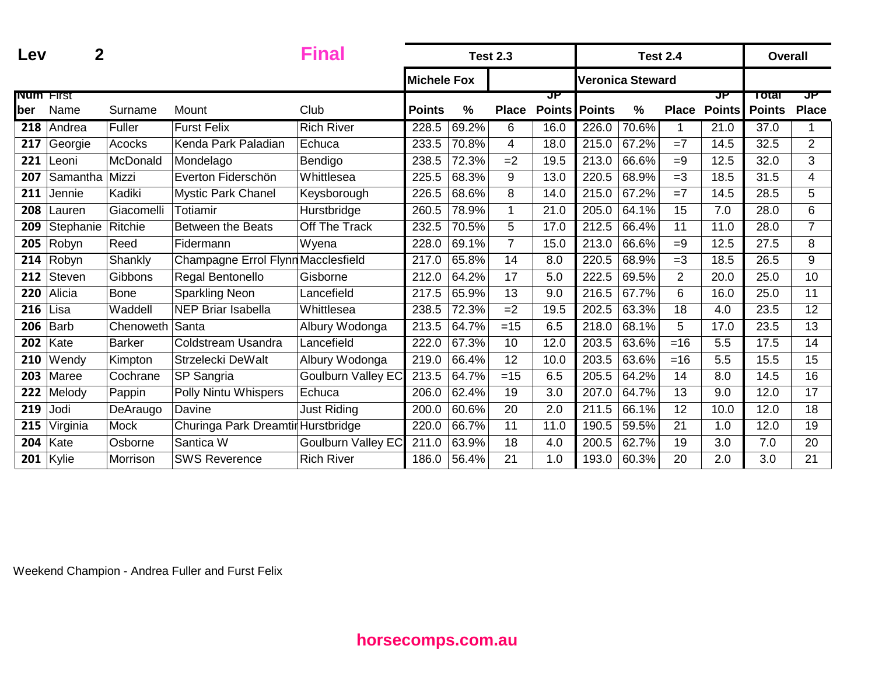| Lev              | 2           |                 | Final                              |                           |                    | <b>Test 2.3</b> |                |               | <b>Test 2.4</b> |                         |                | <b>Overall</b> |               |                |
|------------------|-------------|-----------------|------------------------------------|---------------------------|--------------------|-----------------|----------------|---------------|-----------------|-------------------------|----------------|----------------|---------------|----------------|
|                  |             |                 |                                    |                           | <b>Michele Fox</b> |                 |                |               |                 | <b>Veronica Steward</b> |                |                |               |                |
| <b>Num</b> First |             |                 |                                    |                           |                    |                 |                | JP            |                 |                         |                | ਹਸ             | Total         | JP.            |
| ber              | Name        | Surname         | Mount                              | Club                      | <b>Points</b>      | $\frac{0}{0}$   | <b>Place</b>   | <b>Points</b> | <b>Points</b>   | $\%$                    | <b>Place</b>   | <b>Points</b>  | <b>Points</b> | <b>Place</b>   |
| 218              | Andrea      | Fuller          | <b>Furst Felix</b>                 | <b>Rich River</b>         | 228.5              | 69.2%           | 6              | 16.0          | 226.0           | 70.6%                   |                | 21.0           | 37.0          | 1              |
| 217              | Georgie     | Acocks          | Kenda Park Paladian                | Echuca                    | 233.5              | 70.8%           | $\overline{4}$ | 18.0          | 215.0           | 67.2%                   | $=7$           | 14.5           | 32.5          | $\overline{2}$ |
| 221              | Leoni       | McDonald        | Mondelago                          | Bendigo                   | 238.5              | 72.3%           | $=2$           | 19.5          | 213.0           | 66.6%                   | $=9$           | 12.5           | 32.0          | 3              |
| 207              | Samantha    | Mizzi           | Everton Fiderschön                 | Whittlesea                | 225.5              | 68.3%           | 9              | 13.0          | 220.5           | 68.9%                   | $=3$           | 18.5           | 31.5          | 4              |
| 211              | Jennie      | Kadiki          | Mystic Park Chanel                 | Keysborough               | 226.5              | 68.6%           | 8              | 14.0          | 215.0           | 67.2%                   | $=7$           | 14.5           | 28.5          | 5              |
| 208              | Lauren      | Giacomelli      | Totiamir                           | Hurstbridge               | 260.5              | 78.9%           | 1              | 21.0          | 205.0           | 64.1%                   | 15             | 7.0            | 28.0          | 6              |
| 209              | Stephanie   | Ritchie         | <b>Between the Beats</b>           | Off The Track             | 232.5              | 70.5%           | 5              | 17.0          | 212.5           | 66.4%                   | 11             | 11.0           | 28.0          | $\overline{7}$ |
| 205              | Robyn       | Reed            | Fidermann                          | Wyena                     | 228.0              | 69.1%           | $\overline{7}$ | 15.0          | 213.0           | 66.6%                   | $=9$           | 12.5           | 27.5          | 8              |
| 214              | Robyn       | Shankly         | Champagne Errol Flynn Macclesfield |                           | 217.0              | 65.8%           | 14             | 8.0           | 220.5           | 68.9%                   | $=3$           | 18.5           | 26.5          | 9              |
| 212              | Steven      | Gibbons         | Regal Bentonello                   | Gisborne                  | 212.0              | 64.2%           | 17             | 5.0           | 222.5           | 69.5%                   | $\overline{2}$ | 20.0           | 25.0          | 10             |
| 220              | Alicia      | <b>Bone</b>     | <b>Sparkling Neon</b>              | Lancefield                | 217.5              | 65.9%           | 13             | 9.0           | 216.5           | 67.7%                   | 6              | 16.0           | 25.0          | 11             |
| 216              | Lisa        | Waddell         | <b>NEP Briar Isabella</b>          | Whittlesea                | 238.5              | 72.3%           | $=2$           | 19.5          | 202.5           | 63.3%                   | 18             | 4.0            | 23.5          | 12             |
| 206              | <b>Barb</b> | Chenoweth Santa |                                    | Albury Wodonga            | 213.5              | 64.7%           | $=15$          | 6.5           | 218.0           | 68.1%                   | 5              | 17.0           | 23.5          | 13             |
| 202              | Kate        | <b>Barker</b>   | Coldstream Usandra                 | Lancefield                | 222.0              | 67.3%           | 10             | 12.0          | 203.5           | 63.6%                   | $=16$          | 5.5            | 17.5          | 14             |
| 210              | Wendy       | Kimpton         | Strzelecki DeWalt                  | Albury Wodonga            | 219.0              | 66.4%           | 12             | 10.0          | 203.5           | 63.6%                   | $=16$          | 5.5            | 15.5          | 15             |
| 203              | Maree       | Cochrane        | SP Sangria                         | Goulburn Valley EC        | 213.5              | 64.7%           | $=15$          | 6.5           | 205.5           | 64.2%                   | 14             | 8.0            | 14.5          | 16             |
| 222              | Melody      | Pappin          | <b>Polly Nintu Whispers</b>        | Echuca                    | 206.0              | 62.4%           | 19             | 3.0           | 207.0           | 64.7%                   | 13             | 9.0            | 12.0          | 17             |
| 219              | Jodi        | DeAraugo        | Davine                             | <b>Just Riding</b>        | 200.0              | 60.6%           | 20             | 2.0           | 211.5           | 66.1%                   | 12             | 10.0           | 12.0          | 18             |
| 215              | Virginia    | Mock            | Churinga Park Dreamtir Hurstbridge |                           | 220.0              | 66.7%           | 11             | 11.0          | 190.5           | 59.5%                   | 21             | 1.0            | 12.0          | 19             |
| 204              | Kate        | Osborne         | Santica W                          | <b>Goulburn Valley EC</b> | 211.0              | 63.9%           | 18             | 4.0           | 200.5           | 62.7%                   | 19             | 3.0            | 7.0           | 20             |
| 201              | Kylie       | Morrison        | <b>SWS Reverence</b>               | <b>Rich River</b>         | 186.0              | 56.4%           | 21             | 1.0           | 193.0           | 60.3%                   | 20             | 2.0            | 3.0           | 21             |

Weekend Champion - Andrea Fuller and Furst Felix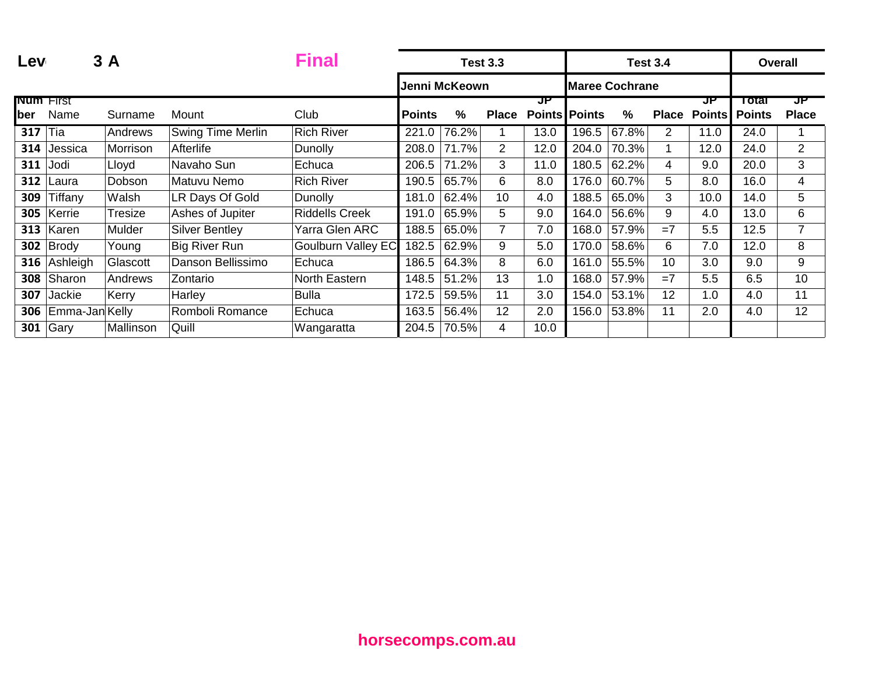| Lev                     |                | 3A        |                          | <b>Final</b>              |               |               | <b>Test 3.3</b> |      |                       |               | <b>Test 3.4</b> |                           | <b>Overall</b>         |                    |
|-------------------------|----------------|-----------|--------------------------|---------------------------|---------------|---------------|-----------------|------|-----------------------|---------------|-----------------|---------------------------|------------------------|--------------------|
|                         |                |           |                          |                           |               | Jenni McKeown |                 |      | <b>Maree Cochrane</b> |               |                 |                           |                        |                    |
| <b>Num</b> First<br>ber | Name           | Surname   | Mount                    | Club                      | <b>Points</b> | %             | <b>Place</b>    | JP   | <b>Points Points</b>  | $\frac{0}{0}$ |                 | JP<br><b>Place Points</b> | Total<br><b>Points</b> | JP<br><b>Place</b> |
| 317                     | Tia            | Andrews   | <b>Swing Time Merlin</b> | <b>Rich River</b>         | 221.0         | 76.2%         |                 | 13.0 | 196.5                 | 67.8%         | 2               | 11.0                      | 24.0                   |                    |
| 314                     | Jessica        | Morrison  | Afterlife                | <b>Dunolly</b>            | 208.0         | 71.7%         | $\overline{2}$  | 12.0 | 204.0                 | 70.3%         |                 | 12.0                      | 24.0                   | $\overline{2}$     |
| 311                     | Jodi           | Lloyd     | Navaho Sun               | Echuca                    | 206.5         | 71.2%         | 3               | 11.0 | 180.5                 | 62.2%         | 4               | 9.0                       | 20.0                   | 3                  |
| 312                     | Laura          | Dobson    | Matuvu Nemo              | <b>Rich River</b>         | 190.5         | 65.7%         | 6               | 8.0  | 176.0                 | 60.7%         | 5               | 8.0                       | 16.0                   | 4                  |
| 309                     | Tiffany        | Walsh     | LR Days Of Gold          | <b>Dunolly</b>            | 181.0         | 62.4%         | 10              | 4.0  | 188.5                 | 65.0%         | 3               | 10.0                      | 14.0                   | 5                  |
| 305                     | Kerrie         | Tresize   | Ashes of Jupiter         | <b>Riddells Creek</b>     | 191.0         | 65.9%         | 5               | 9.0  | 164.0                 | 56.6%         | 9               | 4.0                       | 13.0                   | 6                  |
| 313                     | Karen          | Mulder    | <b>Silver Bentley</b>    | Yarra Glen ARC            | 188.5         | 65.0%         |                 | 7.0  | 168.0                 | 57.9%         | $=7$            | 5.5                       | 12.5                   | 7                  |
| 302                     | Brody          | Young     | <b>Big River Run</b>     | <b>Goulburn Valley EC</b> | 182.5         | 62.9%         | 9               | 5.0  | 170.0                 | 58.6%         | 6               | 7.0                       | 12.0                   | 8                  |
| 316                     | Ashleigh       | Glascott  | Danson Bellissimo        | Echuca                    | 186.5         | 64.3%         | 8               | 6.0  | 161.0                 | 55.5%         | 10              | 3.0                       | 9.0                    | 9                  |
| 308                     | Sharon         | Andrews   | Zontario                 | North Eastern             | 148.5         | 51.2%         | 13              | 1.0  | 168.0                 | 57.9%         | $=7$            | 5.5                       | 6.5                    | 10                 |
| 307                     | Jackie         | Kerry     | Harley                   | <b>Bulla</b>              | 172.5         | 59.5%         | 11              | 3.0  | 154.0                 | 53.1%         | 12              | 1.0                       | 4.0                    | 11                 |
| 306                     | Emma-Jan Kelly |           | Romboli Romance          | Echuca                    | 163.5         | 56.4%         | 12              | 2.0  | 156.0                 | 53.8%         | 11              | 2.0                       | 4.0                    | 12                 |
| 301                     | Gary           | Mallinson | Quill                    | Wangaratta                | 204.5         | 70.5%         | 4               | 10.0 |                       |               |                 |                           |                        |                    |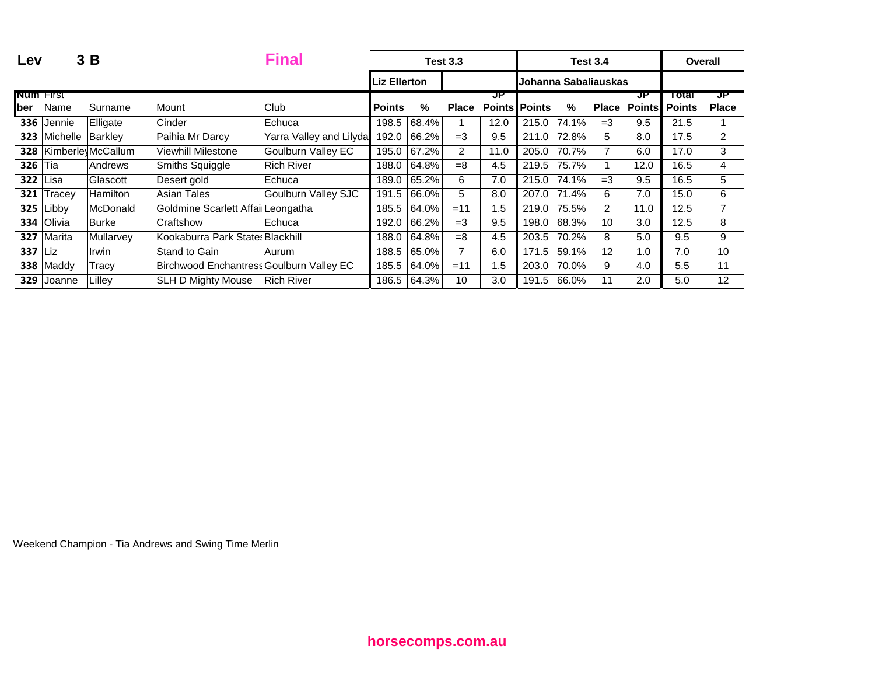| Lev             |               | 3B                |                                          | <b>Final</b>            |                     |       | <b>Test 3.3</b> |                      |       |                      | <b>Test 3.4</b>      |                     |               | Overall        |
|-----------------|---------------|-------------------|------------------------------------------|-------------------------|---------------------|-------|-----------------|----------------------|-------|----------------------|----------------------|---------------------|---------------|----------------|
|                 |               |                   |                                          |                         | <b>Liz Ellerton</b> |       |                 |                      |       | Johanna Sabaliauskas |                      |                     |               |                |
| Num First       |               |                   |                                          |                         |                     |       |                 | JP                   |       |                      |                      | ਹਾ                  | <u>rotal</u>  | ਹਾ             |
| ber             | Name          | Surname           | Mount                                    | Club                    | <b>Points</b>       | %     | <b>Place</b>    | <b>Points Points</b> |       | %                    |                      | <b>Place Points</b> | <b>Points</b> | <b>Place</b>   |
| 336             | <b>Jennie</b> | Elligate          | Cinder                                   | Echuca                  | 198.5               | 68.4% |                 | 12.0                 | 215.0 | 74.1%                | $=3$                 | 9.5                 | 21.5          |                |
| 323             | Michelle      | Barkley           | Paihia Mr Darcy                          | Yarra Valley and Lilyda | 192.0               | 66.2% | $=3$            | 9.5                  | 211.0 | 72.8%                | 5.                   | 8.0                 | 17.5          | $\overline{2}$ |
| 328             |               | Kimberle McCallum | <b>Viewhill Milestone</b>                | Goulburn Valley EC      | 195.0               | 67.2% | $\overline{2}$  | 11.0                 | 205.0 | 70.7%                |                      | 6.0                 | 17.0          | 3              |
| <b>326 Tia</b>  |               | Andrews           | Smiths Squiggle                          | <b>Rich River</b>       | 188.0               | 64.8% | $=8$            | 4.5                  | 219.5 | 75.7%                |                      | 12.0                | 16.5          | 4              |
| <b>322 Lisa</b> |               | Glascott          | Desert gold                              | Echuca                  | 189.0               | 65.2% | 6               | 7.0                  | 215.0 | 74.1%                | $=3$                 | 9.5                 | 16.5          | 5.             |
| 321             | Tracey        | <b>Hamilton</b>   | Asian Tales                              | Goulburn Valley SJC     | 191.5               | 66.0% | 5               | 8.0                  | 207.0 | 71.4%                | 6                    | 7.0                 | 15.0          | 6              |
| 325             | Libby         | McDonald          | Goldmine Scarlett Affail Leongatha       |                         | 185.5               | 64.0% | $=11$           | 1.5                  | 219.0 | 75.5%                | $\mathbf{2}^{\circ}$ | 11.0                | 12.5          | 7              |
|                 | 334 Olivia    | <b>Burke</b>      | Craftshow                                | Echuca                  | 192.0               | 66.2% | $=3$            | 9.5                  | 198.0 | 68.3%                | 10 <sup>1</sup>      | 3.0 <sub>2</sub>    | 12.5          | 8              |
| 327             | Marita        | Mullarvey         | Kookaburra Park States Blackhill         |                         | 188.0               | 64.8% | $=8$            | 4.5                  | 203.5 | 70.2%                | 8                    | 5.0                 | 9.5           | 9              |
| $337$ Liz       |               | Irwin             | Stand to Gain                            | Aurum                   | 188.5               | 65.0% |                 | 6.0                  | 171.5 | 59.1%                | 12                   | 1.0                 | 7.0           | 10             |
|                 | 338 Maddy     | Tracy             | Birchwood Enchantress Goulburn Valley EC |                         | 185.5               | 64.0% | $=11$           | 1.5                  | 203.0 | 70.0%                | 9                    | 4.0                 | 5.5           | 11             |
| 329             | Joanne        | Lillev            | <b>SLH D Mighty Mouse</b>                | <b>Rich River</b>       | 186.5               | 64.3% | 10              | 3.0                  | 191.5 | 66.0%                | 11                   | 2.0                 | 5.0           | 12             |

Weekend Champion - Tia Andrews and Swing Time Merlin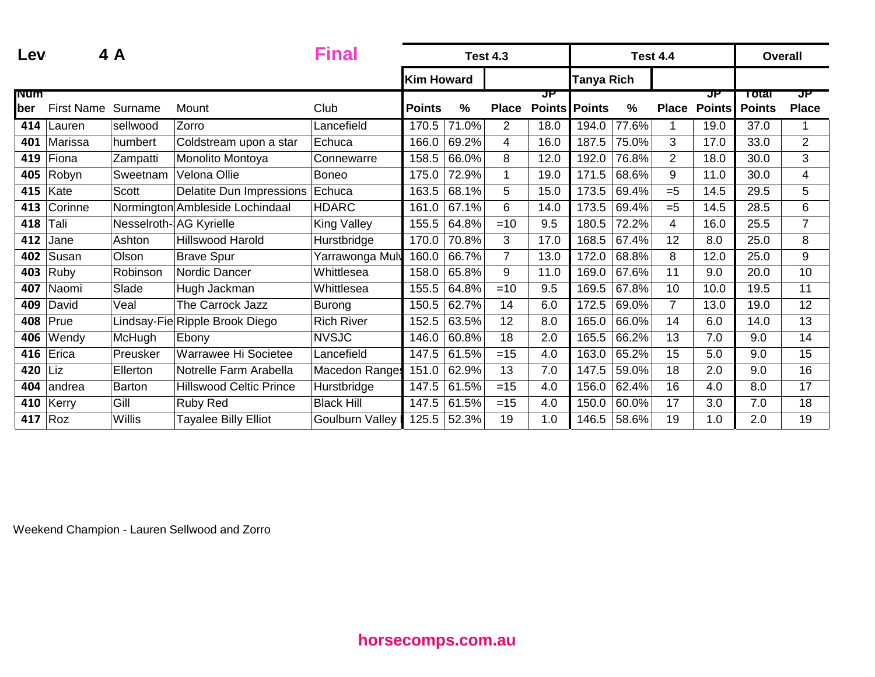| Lev                |                   | 4 A      |                                 | <b>Final</b>           |                   |                     | <b>Test 4.3</b> |                            |                   |               | <b>Test 4.4</b> |                     |                        | <b>Overall</b>     |
|--------------------|-------------------|----------|---------------------------------|------------------------|-------------------|---------------------|-----------------|----------------------------|-------------------|---------------|-----------------|---------------------|------------------------|--------------------|
|                    |                   |          |                                 |                        | <b>Kim Howard</b> |                     |                 |                            | <b>Tanya Rich</b> |               |                 |                     |                        |                    |
| <b>Num</b><br>lber | <b>First Name</b> | Surname  | Mount                           | Club                   | <b>Points</b>     | $\%$                | <b>Place</b>    | ਹਾ<br><b>Points Points</b> |                   | $\frac{0}{0}$ | <b>Place</b>    | JP<br><b>Points</b> | Total<br><b>Points</b> | JP<br><b>Place</b> |
| 414                | Lauren            | sellwood | Zorro                           | Lancefield             | 170.5             | 71.0%               | $\overline{2}$  | 18.0                       | 194.0             | 77.6%         | 1               | 19.0                | 37.0                   |                    |
| 401                | Marissa           | humbert  | Coldstream upon a star          | Echuca                 | 166.0             | 69.2%               | 4               | 16.0                       | 187.5             | 75.0%         | 3               | 17.0                | 33.0                   | $\overline{2}$     |
| 419                | Fiona             | Zampatti | Monolito Montoya                | Connewarre             | 158.5             | 66.0%               | 8               | 12.0                       | 192.0             | 76.8%         | $\overline{2}$  | 18.0                | 30.0                   | 3                  |
| 405                | Robyn             | Sweetnam | Velona Ollie                    | <b>Boneo</b>           | 175.0             | 72.9%               | $\mathbf 1$     | 19.0                       | 171.5             | 68.6%         | 9               | 11.0                | 30.0                   | 4                  |
| 415                | Kate              | Scott    | Delatite Dun Impressions        | Echuca                 | 163.5             | 68.1%               | 5               | 15.0                       | 173.5             | 69.4%         | $= 5$           | 14.5                | 29.5                   | 5                  |
| 413                | Corinne           |          | Normington Ambleside Lochindaal | <b>HDARC</b>           | 161.0             | 67.1%               | 6               | 14.0                       | 173.5             | 69.4%         | $= 5$           | 14.5                | 28.5                   | 6                  |
| 418                | Tali              |          | Nesselroth-AG Kyrielle          | <b>King Valley</b>     | 155.5             | 64.8%               | $=10$           | 9.5                        | 180.5             | 72.2%         | 4               | 16.0                | 25.5                   | $\overline{7}$     |
| 412                | Jane              | Ashton   | <b>Hillswood Harold</b>         | Hurstbridge            | 170.0             | 70.8%               | 3               | 17.0                       | 168.5             | 67.4%         | 12              | 8.0                 | 25.0                   | 8                  |
| 402                | Susan             | Olson    | <b>Brave Spur</b>               | Yarrawonga Muly        | 160.0             | 66.7%               | $\overline{7}$  | 13.0                       | 172.0             | 68.8%         | 8               | 12.0                | 25.0                   | 9                  |
| 403                | Ruby              | Robinson | Nordic Dancer                   | Whittlesea             | 158.0             | 65.8%               | 9               | 11.0                       | 169.0             | 67.6%         | 11              | 9.0                 | 20.0                   | 10                 |
| 407                | Naomi             | Slade    | Hugh Jackman                    | Whittlesea             | 155.5             | 64.8%               | $=10$           | 9.5                        | 169.5             | 67.8%         | 10              | 10.0                | 19.5                   | 11                 |
| 409                | David             | Veal     | The Carrock Jazz                | Burong                 | 150.5             | 62.7%               | 14              | 6.0                        | 172.5             | 69.0%         | $\overline{7}$  | 13.0                | 19.0                   | 12                 |
| 408                | Prue              |          | Lindsay-Fie Ripple Brook Diego  | <b>Rich River</b>      | 152.5             | $63.\overline{5\%}$ | 12              | 8.0                        | 165.0             | 66.0%         | 14              | 6.0                 | 14.0                   | 13                 |
| 406                | Wendy             | McHugh   | Ebony                           | <b>NVSJC</b>           | 146.0             | 60.8%               | 18              | 2.0                        | 165.5             | 66.2%         | 13              | 7.0                 | 9.0                    | 14                 |
| 416                | Erica             | Preusker | Warrawee Hi Societee            | Lancefield             | 147.5             | 61.5%               | $=15$           | 4.0                        | 163.0             | 65.2%         | 15              | 5.0                 | 9.0                    | 15                 |
| 420                | Liz               | Ellerton | Notrelle Farm Arabella          | <b>Macedon Ranges</b>  | 151.0             | 62.9%               | 13              | 7.0                        | 147.5             | 59.0%         | 18              | 2.0                 | 9.0                    | 16                 |
| 404                | andrea            | Barton   | <b>Hillswood Celtic Prince</b>  | Hurstbridge            | 147.5             | 61.5%               | $=15$           | 4.0                        | 156.0             | 62.4%         | 16              | 4.0                 | 8.0                    | 17                 |
| 410                | Kerry             | Gill     | Ruby Red                        | <b>Black Hill</b>      | 147.5             | 61.5%               | $=15$           | 4.0                        | 150.0             | 60.0%         | 17              | 3.0                 | 7.0                    | 18                 |
| 417                | Roz               | Willis   | <b>Tayalee Billy Elliot</b>     | <b>Goulburn Valley</b> | 125.5             | 52.3%               | 19              | 1.0                        | 146.5             | 58.6%         | 19              | 1.0                 | 2.0                    | 19                 |

Weekend Champion - Lauren Sellwood and Zorro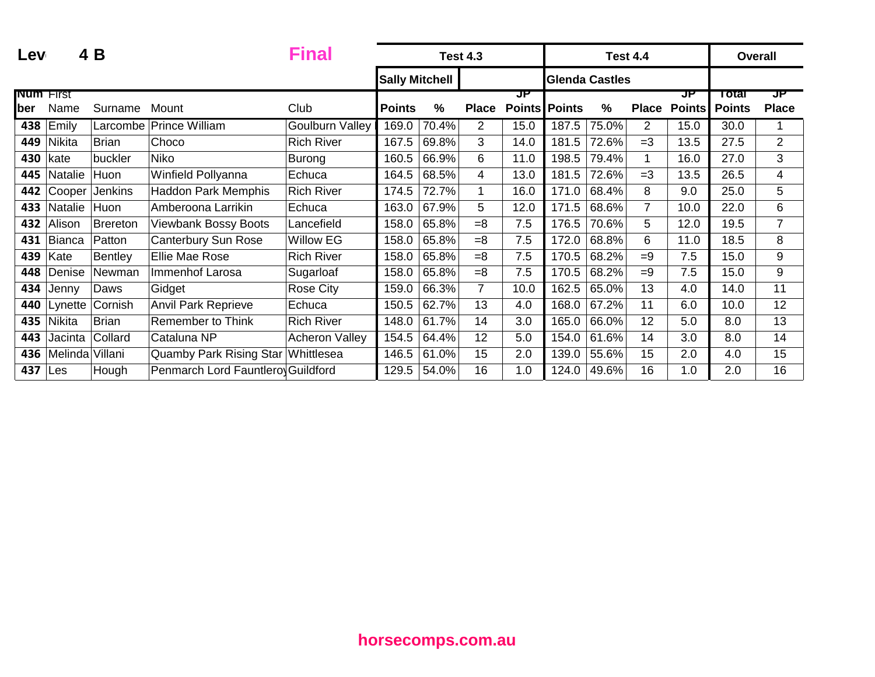| Lev              |                 | 4 B            |                                   | <b>Final</b>           | <b>Test 4.3</b>       |       |                |               |                       |       | <b>Test 4.4</b>       |               | <b>Overall</b> |                |
|------------------|-----------------|----------------|-----------------------------------|------------------------|-----------------------|-------|----------------|---------------|-----------------------|-------|-----------------------|---------------|----------------|----------------|
|                  |                 |                |                                   |                        | <b>Sally Mitchell</b> |       |                |               | <b>Glenda Castles</b> |       |                       |               |                |                |
| <b>Num</b> First |                 |                |                                   |                        |                       |       |                | JP            |                       |       |                       | JP            | Total          | ਹਾ             |
| ber              | Name            | Surname        | Mount                             | Club                   | <b>Points</b>         | %     | <b>Place</b>   | <b>Points</b> | <b>Points</b>         | %     | <b>Place</b>          | <b>Points</b> | <b>Points</b>  | <b>Place</b>   |
| 438              | Emily           | Larcombe       | <b>Prince William</b>             | <b>Goulburn Valley</b> | 169.0                 | 70.4% | 2              | 15.0          | 187.5                 | 75.0% | $\mathbf{2}^{\prime}$ | 15.0          | 30.0           |                |
| 449              | Nikita          | <b>Brian</b>   | Choco                             | <b>Rich River</b>      | 167.5                 | 69.8% | 3              | 14.0          | 181.5                 | 72.6% | $=3$                  | 13.5          | 27.5           | $\overline{2}$ |
| 430              | kate            | buckler        | Niko                              | <b>Burong</b>          | 160.5                 | 66.9% | 6              | 11.0          | 198.5                 | 79.4% | 1                     | 16.0          | 27.0           | 3              |
| 445              | Natalie         | Huon           | Winfield Pollyanna                | Echuca                 | 164.5                 | 68.5% | 4              | 13.0          | 181.5                 | 72.6% | $=3$                  | 13.5          | 26.5           | 4              |
| 442              | Cooper          | Jenkins        | <b>Haddon Park Memphis</b>        | <b>Rich River</b>      | 174.5                 | 72.7% | 1              | 16.0          | 171.0                 | 68.4% | 8                     | 9.0           | 25.0           | 5              |
| 433              | Natalie         | Huon           | Amberoona Larrikin                | Echuca                 | 163.0                 | 67.9% | 5              | 12.0          | 171.5                 | 68.6% | $\overline{7}$        | 10.0          | 22.0           | 6              |
| 432              | Alison          | Brereton       | <b>Viewbank Bossy Boots</b>       | Lancefield             | 158.0                 | 65.8% | $=8$           | 7.5           | 176.5                 | 70.6% | 5                     | 12.0          | 19.5           | $\overline{7}$ |
| 431              | <b>Bianca</b>   | Patton         | Canterbury Sun Rose               | <b>Willow EG</b>       | 158.0                 | 65.8% | $=8$           | 7.5           | 172.0                 | 68.8% | 6                     | 11.0          | 18.5           | 8              |
| 439              | Kate            | <b>Bentley</b> | Ellie Mae Rose                    | <b>Rich River</b>      | 158.0                 | 65.8% | $=8$           | 7.5           | 170.5                 | 68.2% | $=9$                  | 7.5           | 15.0           | 9              |
| 448              | Denise          | Newman         | Immenhof Larosa                   | Sugarloaf              | 158.0                 | 65.8% | $=8$           | 7.5           | 170.5                 | 68.2% | $=9$                  | 7.5           | 15.0           | 9              |
| 434              | Jenny           | Daws           | Gidget                            | <b>Rose City</b>       | 159.0                 | 66.3% | $\overline{7}$ | 10.0          | 162.5                 | 65.0% | 13                    | 4.0           | 14.0           | 11             |
| 440              | Lynette         | Cornish        | <b>Anvil Park Reprieve</b>        | Echuca                 | 150.5                 | 62.7% | 13             | 4.0           | 168.0                 | 67.2% | 11                    | 6.0           | 10.0           | 12             |
| 435              | <b>Nikita</b>   | <b>Brian</b>   | <b>Remember to Think</b>          | <b>Rich River</b>      | 148.0                 | 61.7% | 14             | 3.0           | 165.0                 | 66.0% | 12                    | 5.0           | 8.0            | 13             |
| 443              | Jacinta         | Collard        | Cataluna NP                       | <b>Acheron Valley</b>  | 154.5                 | 64.4% | 12             | 5.0           | 154.0                 | 61.6% | 14                    | 3.0           | 8.0            | 14             |
| 436              | Melinda Villani |                | Quamby Park Rising Star           | Whittlesea             | 146.5                 | 61.0% | 15             | 2.0           | 139.0                 | 55.6% | 15                    | 2.0           | 4.0            | 15             |
| 437              | Les             | Hough          | Penmarch Lord Fauntlero Guildford |                        | 129.5                 | 54.0% | 16             | 1.0           | 124.0                 | 49.6% | 16                    | 1.0           | 2.0            | 16             |